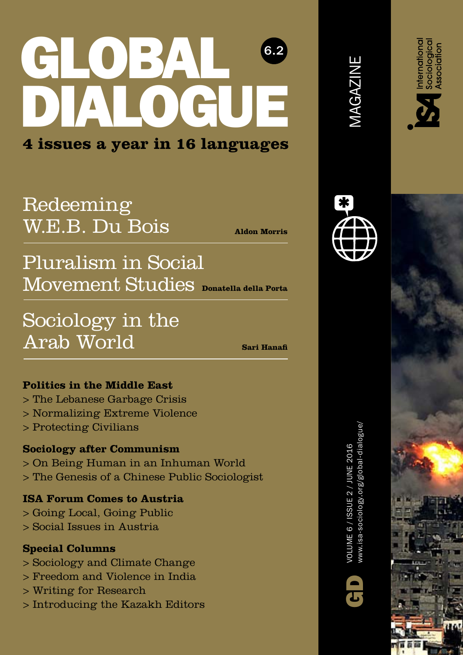## GLOBAL DIALOGUE 6.2 **4 issues a year in 16 languages**

### Redeeming [W.E.B. Du Bois](#page--1-0)

**Aldon Morris**

## ${\rm Moveren}$ t Studies <sub>Donatella della Porta</sub> [Pluralism in Social](#page--1-0)

[Sociology in the](#page--1-0)  Arab World

**Sari Hanafi**

#### **Politics in the Middle East**

- [> The Lebanese Garbage Crisis](#page--1-0)
- [> Normalizing Extreme Violence](#page--1-0)
- [> Protecting Civilians](#page--1-0)

#### **Sociology after Communism**

- [> On Being Human in an Inhuman World](#page--1-0)
- [> The Genesis of a Chinese Public Sociologist](#page--1-0)

#### **ISA Forum Comes to Austria**

- [> Going Local, Going Public](#page--1-0)
- [> Social Issues in Austria](#page-1-0)

#### **Special Columns**

- [> Sociology and Climate Change](#page--1-0)
- [> Freedom and Violence in India](#page--1-0)
- [> Writing for Research](#page--1-0)
- [> Introducing the Kazakh Editors](#page--1-0)

www.isa-sociology.org/global-dialogue/ www.isa-sociology.org/global-dialogue, VOLUME 6 / ISSUE 2 / JUNE 2016 VOLUME 6 / ISSUE 2 / JUNE 2016







MAGAZINE